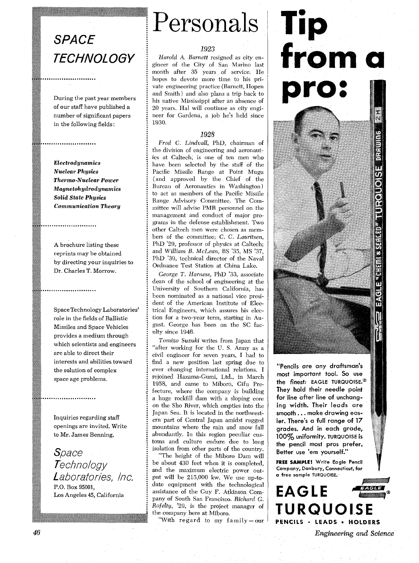# **SPACE TECHNOLOGY**

During the past year members of our staff have published a number of significant papers in the following fields:

Electrodynamics **Nuclear Physics Thermo-Nuclear Power Magnetohydrodynamics Solid State Physics Communication Theory** 

........................

.....................

A brochure listing these reprints may be obtained by directing your inquiries to Dr. Charles T. Morrow.

Space Technology Laboratories' role in the fields of Ballistic Missiles and Space Vehicles provides a medium through which scientists and engineers are able to direct their interests and abilities toward the solution of complex space age problems.

Inquiries regarding staff openings are invited. Write to Mr. James Benning,

Space Technology Laboratories, Inc. P.O. Box 95001, Los Angeles 45, California

Personals

## 1923

*Harold A. Barnett* resigned as city en gineer of the City of San Marino last month after 35 years of service. He hopes to devote more time to his private engineering practice (Barnett, Hopen and Smith) and also plans a trip back to his native Mississippi after an absence of 20 years. Hal will continue as city engi neer for Gardena, a job he's held since 1930.

# 1928

*Fred C. Lindvall,* PhD, chairman of the division of engineering and aeronautics at Caltech, is one of ten men who have been selected by the staff of the : Pacific Missile Range at Point Mugu (and approved by the Chief of the Bureau of Aeronautics in Washington) to act as members of the Pacific Missile : Range Advisory Committee. The Committee will advise PMR personnel on the management and conduct of major programs in the defense establishment. Two other Caltech men were chosen as members of the committee; *C.* C. *Lauritsen,*  PhD *'29,* professor of physics at Caltech; and *William* B. *McLean, BS* '35, MS '37, PhD '39, technical director of the Naval Ordnance Test Station at China Lake.

*George T. Harness,* PhD '33, associate dean of the school of engineering at the University of Southern California, has been nominated as a national vice president of the American Institute of Electrical Engineers, which assures his elec- : tion for a two-year term, starting in Au- : gust. George has been on the SC fac ulty since 1946.

*Tomizo* Susuki writes from Japan that "after working for the **U.** S. Army as a civil engineer for seven years, I had to find a new position last spring due to ever changing international relations. I rejoined Hazama-Gumi, Ltd., in March 1958, and came to Miboro, Gifu Prefecture, where the company is building a huge rockfill dam with a sloping core on the Sho River, which empties into the Japan Sea. It is located in the northwestern part of Central Japan amidst rugged mountains where the rain and snow fall abundantly. In this region peculiar cus- : toms and culture endure due to long isolation from other parts of the country.

'The height of the Miboro Dam will be about 430 feet when it is completed, : and the maximum electric power output will be 215,000 kw. We use up-todate equipment with the technological assistance of the Guy F. Atkinson Company of South San Francisco. *Richard* G. *Rofelty,* '29, is the project manager of the company here at Miboro.

"With regard to my family-our



"Pencils are any draftsman's most important tool. So use the finest: EAGLE TURQUOISE.<sup>®</sup> They hold their needle point for line after line of unchanging width. Their leads are smooth . . . make drawing eas**ier. There's a full range of 17 grades. And in each grade, 100% uniformity. TURQUOISE is the pencil most pros prefer. Better use 'em yourself."** 

**FREE SAMPLE! Write Eagle Pencil Company, Danbury, Connecticut, for** 'f **a free sample TURQUOISE.** 



*Engineering and Science*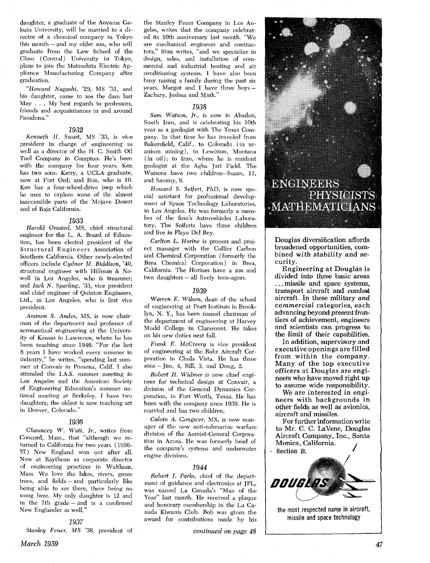daughter, a graduate of the Aoyama Gakuin University, will be married to a director of a chemical company in Tokyo this month  $-$  and my older son, who will graduate from the Law School of the Chuo (Central) University in' Tokyo, plans to join the Matsushita Electric Appliance Manufacturing Company after graduation.

"Howard Nagashi, '29, MS '31, and his daughter, came to see the dam last May . . . My best regards to professors, friends and acquaintances in and around Pasadena."

#### 1932

Kenneth H. Swart, MS '33, is vice president in charge of engineering as well as a director of the H. C. Smith Oil Tool Company in Compton. He's been with the company for four years. Ken has two sons: Kerry, a UCLA graduate, now at Fort Ord; and Ron, who is 10. Ken has a four-wheel-drive jeep which he uses to explore some of the almost inaccessible parts of the Mojave Desert and of Baja California.

#### 1933

Harold Omsted, MS, chief structural engineer for the L. A. Board of Education, has been elected president of the Structural Engineers Association of Southern California. Other newly-elected officers include Cydnor *M.* Biddison, '40, structural engineer with Hillman & Nowell in Los Angeles, who is treasurer; and jack *N.* Sparling, '33, vice president and chief engineer of Quinton Engineers, Ltd., in Los Angeles, who is first vice president.

Ammon S. Andes, MS, is now chairman of the department and professor of aeronautical engineering at the University of Kansas in Lawrence, where he has been teaching since 1946. "For the last 8 years I have worked every summer in industry," he writes, "spending last summer at Convair in Pomona, Calif. I also attended the I.A.S. summer meeting in Los Angeles and the American Society of Engineering Education's summer national meeting at Berkeley. I have two daughters; the oldest is now teaching art in Denver, Colorado."

#### **1936**

*Chauncey* W. Watt, *Jr.,* writes from Concord, Mass., that "although we returned to California for two years ( 1956- 57) New England won out after all. Now at Raytheon as corporate director of engineering practices in Waltham, Mass. We love the lakes, rivers, green trees, and fields - and particularly like being able to see them, there being no smog here. My only daughter is 12 and in the 7th grade - and is a confirmed New Englander as well."

# 1937

Stanley Feuer, MS '38, president of

the Stanley Feuer Company in Los Angeles, writes that the company celebrated its 10th anniversary last month. "We are mechanical engineers and contractors," Stan writes, "and we specialize in design, sales, and installation of commercial and industrial heating and air conditioning systems. I have also been busy raising a family during the past six<br>years. Margot and I have three boys – Zachary, Joshua and Mark."

#### 1938

Sam Watson, Jr., is now in Abadan, South Iran, and is celebrating his 10th year as a geologist with The Texas Company. In that time he has traveled from Bakersfield, Calif., to Colorado (in uranium mining), to Lewiston, Montana (in oil); to Iran, where he is resident geologist at the Agha Jari Field. The Watsons have two children-Susan, 11, and Sammy, 9.

Howard S. Seifert, PhD, is now special assistant for professional development of Space Technology Laboratories, in Los Angeles. He was formerly a member of the firm's Astrovehicles Laboratory. The Seiferts have three children and live in Playa Del Rey.

Carlton L. Horine is process and project manager with the Collier Carbon and Chemical Corporation (formerly the Brea Chemical Corporation) in Brea, California. The Horines have a son and two daughters - all lively teen-agers.

#### 1939

Warren *E.* Wilson, dean of the school of engineering at Pratt Institute in Brooklyn, N. **Y,,** has been named chairman of the department of engineering at Harvey Mudd College in Claremont. He takes on his new duties next fall.

Frank *E.* McCreery is vice president of engineering at the Rohr Aircraft Corporation in Chula Vista. He has three sons - Jim, 4, Bill, **3,** and Doug, 2.

Robert *El.* Widmer is now chief engineer for technical design at Convair, a division of the General Dynamics Corporation, in Fort Worth, Texas. He has been with the company since 1939. He is married and has two children.

Calvin A. Gongwer, MS, is now manager of the new anti-submarine warfare division of the Aerojet-General Corporation in Azusa. He was formerly head of the company's systems and underwater engine divisions.

#### 1944

Robert j. Parks, chief of the department of guidance and electronics at JPL, was named La Canada's "Man of the Year" last month. He received a plaque and honorary membership in the La Canada Kiwanis Club. Bob was given the award for contributions made by his

*continued on page* 48



Douglas diversification affords broadened opportunities, combined with stability and security.

Engineering at Douglas is divided into three basic areas . . . missile and space systems, transport aircraft and combat aircraft. In these military and commercial categories, each advancing beyond present frontiers of achievement, engineers and scientists can progress to the limit of their capabilities.

In addition, supervisory and executive openings are filled from within the company. Many of the top executive officers at Douglas are engineers who have moved right up to assume wide responsibility.

We are interested in engineers with backgrounds in other fields as well as avionics, aircraft and missiles.

For further information write to Mr. C. *C.* LaVene, Douglas Aircraft Company, Inc., Santa Monica, California. **Section B.** /





the most respected name in aircraft, missile and space technology